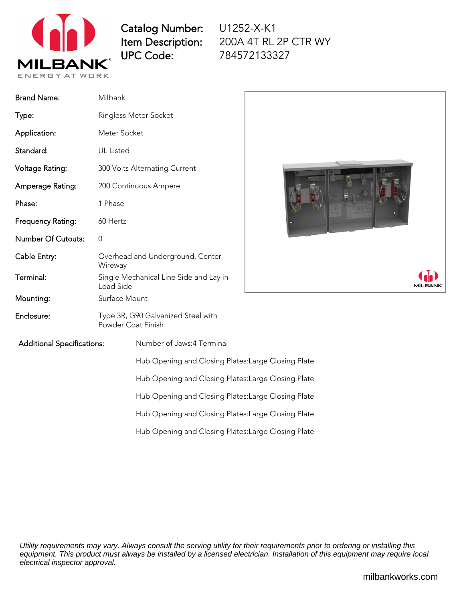

Catalog Number: Item Description: UPC Code:

U1252-X-K1 200A 4T RL 2P CTR WY 784572133327

| <b>Brand Name:</b>                | Milbank                                                  |
|-----------------------------------|----------------------------------------------------------|
| Type:                             | Ringless Meter Socket                                    |
| Application:                      | Meter Socket                                             |
| Standard:                         | UL Listed                                                |
| Voltage Rating:                   | 300 Volts Alternating Current                            |
| Amperage Rating:                  | 200 Continuous Ampere                                    |
| Phase:                            | 1 Phase                                                  |
| Frequency Rating:                 | 60 Hertz                                                 |
| <b>Number Of Cutouts:</b>         | 0                                                        |
| Cable Entry:                      | Overhead and Underground, Center<br>Wireway              |
| Terminal:                         | Single Mechanical Line Side and Lay in<br>Load Side      |
| Mounting:                         | Surface Mount                                            |
| Enclosure:                        | Type 3R, G90 Galvanized Steel with<br>Powder Coat Finish |
| <b>Additional Specifications:</b> | Number of Jaws:4 Terminal                                |



Hub Opening and Closing Plates:Large Closing Plate Hub Opening and Closing Plates:Large Closing Plate Hub Opening and Closing Plates:Large Closing Plate

Hub Opening and Closing Plates:Large Closing Plate

Hub Opening and Closing Plates:Large Closing Plate

Utility requirements may vary. Always consult the serving utility for their requirements prior to ordering or installing this equipment. This product must always be installed by a licensed electrician. Installation of this equipment may require local electrical inspector approval.